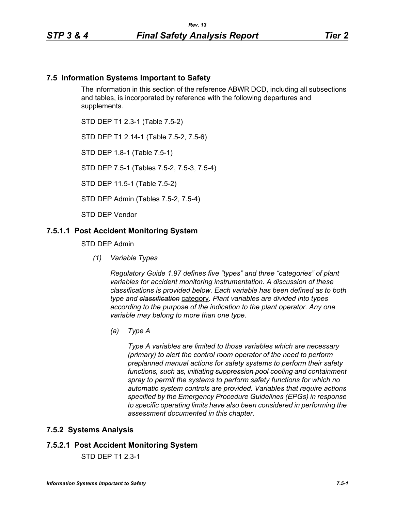## **7.5 Information Systems Important to Safety**

The information in this section of the reference ABWR DCD, including all subsections and tables, is incorporated by reference with the following departures and supplements.

STD DEP T1 2.3-1 (Table 7.5-2)

STD DEP T1 2.14-1 (Table 7.5-2, 7.5-6)

STD DEP 1.8-1 (Table 7.5-1)

STD DEP 7.5-1 (Tables 7.5-2, 7.5-3, 7.5-4)

STD DEP 11.5-1 (Table 7.5-2)

STD DEP Admin (Tables 7.5-2, 7.5-4)

STD DEP Vendor

#### **7.5.1.1 Post Accident Monitoring System**

STD DEP Admin

*(1) Variable Types*

*Regulatory Guide 1.97 defines five "types" and three "categories" of plant variables for accident monitoring instrumentation. A discussion of these classifications is provided below. Each variable has been defined as to both type and classification* category*. Plant variables are divided into types according to the purpose of the indication to the plant operator. Any one variable may belong to more than one type.*

*(a) Type A*

*Type A variables are limited to those variables which are necessary (primary) to alert the control room operator of the need to perform preplanned manual actions for safety systems to perform their safety functions, such as, initiating suppression pool cooling and containment spray to permit the systems to perform safety functions for which no automatic system controls are provided. Variables that require actions specified by the Emergency Procedure Guidelines (EPGs) in response to specific operating limits have also been considered in performing the assessment documented in this chapter.*

### **7.5.2 Systems Analysis**

### **7.5.2.1 Post Accident Monitoring System**

STD DEP T1 2.3-1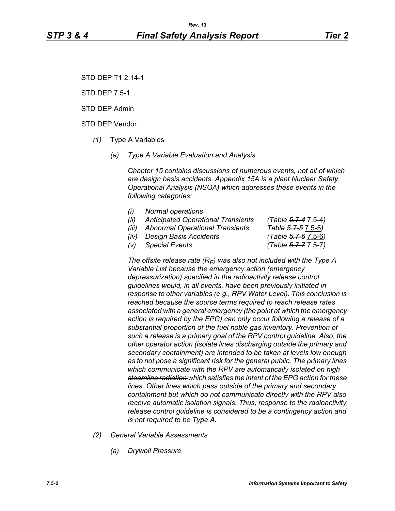STD DEP T1 2.14-1

STD DEP 7.5-1

STD DEP Admin

STD DEP Vendor

- *(1)* Type A Variables
	- *(a) Type A Variable Evaluation and Analysis*

*Chapter 15 contains discussions of numerous events, not all of which are design basis accidents. Appendix 15A is a plant Nuclear Safety Operational Analysis (NSOA) which addresses these events in the following categories:*

- *(i) Normal operations*
- *(ii) Anticipated Operational Transients (Table 5.7-4* 7.5-4*)*
- *(iii) Abnormal Operational Transients Table 5.7-5* 7.5-5*)*
- *(iv) Design Basis Accidents (Table 5.7-6* 7.5-6*)*

*(v) Special Events (Table 5.7-7* 7.5-7*)*

The offsite release rate  $(R_E)$  was also not included with the Type A *Variable List because the emergency action (emergency depressurization) specified in the radioactivity release control guidelines would, in all events, have been previously initiated in response to other variables (e.g., RPV Water Level). This conclusion is reached because the source terms required to reach release rates associated with a general emergency (the point at which the emergency action is required by the EPG) can only occur following a release of a substantial proportion of the fuel noble gas inventory. Prevention of such a release is a primary goal of the RPV control guideline. Also, the other operator action (isolate lines discharging outside the primary and secondary containment) are intended to be taken at levels low enough as to not pose a significant risk for the general public. The primary lines which communicate with the RPV are automatically isolated on high steamline radiation which satisfies the intent of the EPG action for these lines. Other lines which pass outside of the primary and secondary containment but which do not communicate directly with the RPV also receive automatic isolation signals. Thus, response to the radioactivity release control guideline is considered to be a contingency action and is not required to be Type A.*

- *(2) General Variable Assessments*
	- *(a) Drywell Pressure*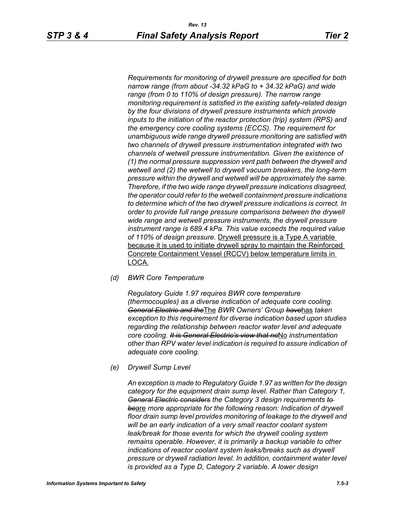*Requirements for monitoring of drywell pressure are specified for both narrow range (from about -34.32 kPaG to + 34.32 kPaG) and wide range (from 0 to 110% of design pressure). The narrow range monitoring requirement is satisfied in the existing safety-related design by the four divisions of drywell pressure instruments which provide inputs to the initiation of the reactor protection (trip) system (RPS) and the emergency core cooling systems (ECCS). The requirement for unambiguous wide range drywell pressure monitoring are satisfied with two channels of drywell pressure instrumentation integrated with two channels of wetwell pressure instrumentation. Given the existence of (1) the normal pressure suppression vent path between the drywell and wetwell and (2) the wetwell to drywell vacuum breakers, the long-term pressure within the drywell and wetwell will be approximately the same. Therefore, if the two wide range drywell pressure indications disagreed, the operator could refer to the wetwell containment pressure indications to determine which of the two drywell pressure indications is correct. In order to provide full range pressure comparisons between the drywell wide range and wetwell pressure instruments, the drywell pressure instrument range is 689.4 kPa. This value exceeds the required value of 110% of design pressure.* Drywell pressure is a Type A variable because it is used to initiate drywell spray to maintain the Reinforced Concrete Containment Vessel (RCCV) below temperature limits in LOCA.

*(d) BWR Core Temperature*

*Regulatory Guide 1.97 requires BWR core temperature (thermocouples) as a diverse indication of adequate core cooling. General Electric and the*The *BWR Owners' Group have*has *taken exception to this requirement for diverse indication based upon studies regarding the relationship between reactor water level and adequate core cooling. It is General Electric's view that no*No *instrumentation other than RPV water level indication is required to assure indication of adequate core cooling.*

*(e) Drywell Sump Level*

*An exception is made to Regulatory Guide 1.97 as written for the design category for the equipment drain sump level. Rather than Category 1, General Electric considers the Category 3 design requirements to be*are *more appropriate for the following reason: Indication of drywell floor drain sump level provides monitoring of leakage to the drywell and will be an early indication of a very small reactor coolant system*  leak/break for those events for which the drywell cooling system *remains operable. However, it is primarily a backup variable to other indications of reactor coolant system leaks/breaks such as drywell pressure or drywell radiation level. In addition, containment water level is provided as a Type D, Category 2 variable. A lower design*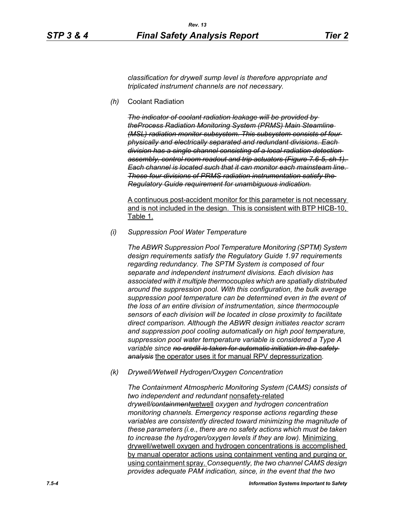*classification for drywell sump level is therefore appropriate and triplicated instrument channels are not necessary.*

*(h)* Coolant Radiation

*The indicator of coolant radiation leakage will be provided by theProcess Radiation Monitoring System (PRMS) Main Steamline (MSL) radiation monitor subsystem. This subsystem consists of four physically and electrically separated and redundant divisions. Each division has a single channel consisting of a local radiation detection assembly, control room readout and trip actuators (Figure 7.6-5, sh 1). Each channel is located such that it can monitor each mainsteam line. These four divisions of PRMS radiation instrumentation satisfy the Regulatory Guide requirement for unambiguous indication.*

A continuous post-accident monitor for this parameter is not necessary and is not included in the design. This is consistent with BTP HICB-10, Table 1.

*(i) Suppression Pool Water Temperature*

*The ABWR Suppression Pool Temperature Monitoring (SPTM) System design requirements satisfy the Regulatory Guide 1.97 requirements regarding redundancy. The SPTM System is composed of four separate and independent instrument divisions. Each division has associated with it multiple thermocouples which are spatially distributed around the suppression pool. With this configuration, the bulk average suppression pool temperature can be determined even in the event of the loss of an entire division of instrumentation, since thermocouple sensors of each division will be located in close proximity to facilitate direct comparison. Although the ABWR design initiates reactor scram and suppression pool cooling automatically on high pool temperature, suppression pool water temperature variable is considered a Type A variable since no credit is taken for automatic initiation in the safety analysis* the operator uses it for manual RPV depressurization*.*

*(k) Drywell/Wetwell Hydrogen/Oxygen Concentration*

*The Containment Atmospheric Monitoring System (CAMS) consists of two independent and redundant* nonsafety-related *drywell/containment*wetwell *oxygen and hydrogen concentration monitoring channels. Emergency response actions regarding these variables are consistently directed toward minimizing the magnitude of these parameters (i.e., there are no safety actions which must be taken to increase the hydrogen/oxygen levels if they are low).* Minimizing drywell/wetwell oxygen and hydrogen concentrations is accomplished by manual operator actions using containment venting and purging or using containment spray. *Consequently, the two channel CAMS design provides adequate PAM indication, since, in the event that the two*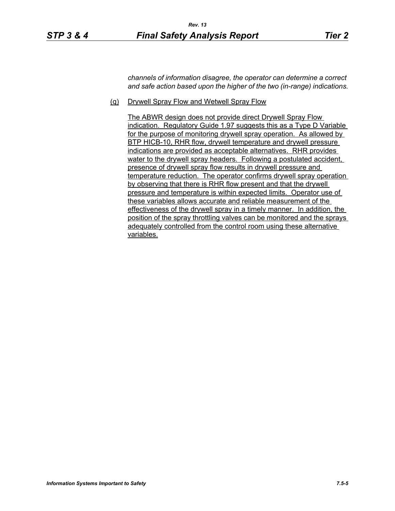*channels of information disagree, the operator can determine a correct and safe action based upon the higher of the two (in-range) indications.*

(q) Drywell Spray Flow and Wetwell Spray Flow

The ABWR design does not provide direct Drywell Spray Flow indication. Regulatory Guide 1.97 suggests this as a Type D Variable for the purpose of monitoring drywell spray operation. As allowed by BTP HICB-10, RHR flow, drywell temperature and drywell pressure indications are provided as acceptable alternatives. RHR provides water to the drywell spray headers. Following a postulated accident, presence of drywell spray flow results in drywell pressure and temperature reduction. The operator confirms drywell spray operation by observing that there is RHR flow present and that the drywell pressure and temperature is within expected limits. Operator use of these variables allows accurate and reliable measurement of the effectiveness of the drywell spray in a timely manner. In addition, the position of the spray throttling valves can be monitored and the sprays adequately controlled from the control room using these alternative variables.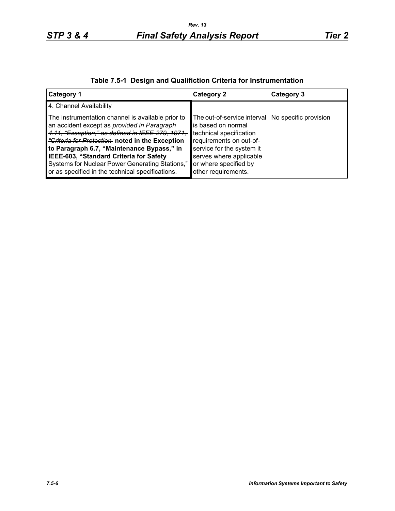| Table 7.5-1 Design and Qualifiction Criteria for Instrumentation |  |  |  |  |  |
|------------------------------------------------------------------|--|--|--|--|--|
|------------------------------------------------------------------|--|--|--|--|--|

| <b>Category 1</b>                                                                                                                                                                                                                                                                                                                                                                                                     | <b>Category 2</b>                                                                                                                                                                                                                     | Category 3 |
|-----------------------------------------------------------------------------------------------------------------------------------------------------------------------------------------------------------------------------------------------------------------------------------------------------------------------------------------------------------------------------------------------------------------------|---------------------------------------------------------------------------------------------------------------------------------------------------------------------------------------------------------------------------------------|------------|
| 4. Channel Availability                                                                                                                                                                                                                                                                                                                                                                                               |                                                                                                                                                                                                                                       |            |
| The instrumentation channel is available prior to<br>an accident except as <i>provided in Paragraph</i><br>4.11, "Exception," as defined in IEEE-279, 1971,<br><i>"Criteria for Protection</i> noted in the Exception<br>to Paragraph 6.7, "Maintenance Bypass," in<br>IEEE-603, "Standard Criteria for Safety<br>Systems for Nuclear Power Generating Stations,"<br>or as specified in the technical specifications. | The out-of-service interval No specific provision<br>is based on normal<br>technical specification<br>requirements on out-of-<br>service for the system it<br>serves where applicable<br>or where specified by<br>other requirements. |            |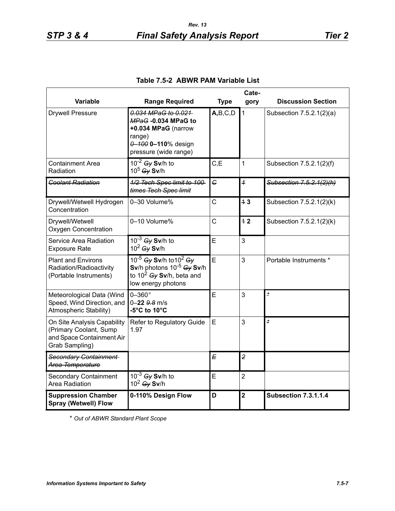| Cate-                                                                                                |                                                                                                                                         |                |                         |                             |
|------------------------------------------------------------------------------------------------------|-----------------------------------------------------------------------------------------------------------------------------------------|----------------|-------------------------|-----------------------------|
| Variable                                                                                             | <b>Range Required</b>                                                                                                                   | <b>Type</b>    | gory                    | <b>Discussion Section</b>   |
| <b>Drywell Pressure</b>                                                                              | 0.034 MPaG to 0.021<br>MPaG -0.034 MPaG to<br>+0.034 MPaG (narrow<br>range)<br>0-100 0-110% design<br>pressure (wide range)             | A,B,C,D        | $\mathbf{1}$            | Subsection 7.5.2.1(2)(a)    |
| <b>Containment Area</b><br>Radiation                                                                 | $10^{-2}$ Gy Sv/h to<br>10 <sup>5</sup> Gy Sv/h                                                                                         | C, E           | 1                       | Subsection 7.5.2.1(2)(f)    |
| <b>Coolant Radiation</b>                                                                             | 1/2 Tech Spec limit to 100-<br>times Tech Spec limit                                                                                    | C              | $\overline{1}$          | Subsection 7.5.2.1(2)(h)    |
| Drywell/Wetwell Hydrogen<br>Concentration                                                            | 0-30 Volume%                                                                                                                            | C              | 43                      | Subsection 7.5.2.1(2)(k)    |
| Drywell/Wetwell<br><b>Oxygen Concentration</b>                                                       | 0-10 Volume%                                                                                                                            | $\overline{C}$ | 12                      | Subsection 7.5.2.1(2)(k)    |
| Service Area Radiation<br><b>Exposure Rate</b>                                                       | $10^{-3}$ Gy Sv/h to<br>$10^2$ Gy Sv/h                                                                                                  | E              | 3                       |                             |
| <b>Plant and Environs</b><br>Radiation/Radioactivity<br>(Portable Instruments)                       | 10 <sup>-5</sup> Gy Sv/h to $10^2$ Gy<br>Sv/h photons $10^{-5}$ Gy Sv/h<br>to 10 <sup>2</sup> $Gy$ Sv/h, beta and<br>low energy photons | E              | 3                       | Portable Instruments *      |
| Meteorological Data (Wind<br>Speed, Wind Direction, and<br>Atmospheric Stability)                    | $0-360$ °<br>$0 - 22$ $9.8$ m/s<br>-5°C to 10°C                                                                                         | E              | 3                       | ż                           |
| On Site Analysis Capability<br>(Primary Coolant, Sump<br>and Space Containment Air<br>Grab Sampling) | Refer to Regulatory Guide<br>1.97                                                                                                       | E              | 3                       | $\star$                     |
| Secondary Containment<br>Area Temperature                                                            |                                                                                                                                         | E              | $\overline{2}$          |                             |
| <b>Secondary Containment</b><br>Area Radiation                                                       | $10^{-3}$ Gy Sv/h to<br>$10^2$ Gy Sv/h                                                                                                  | E              | $\overline{2}$          |                             |
| <b>Suppression Chamber</b><br><b>Spray (Wetwell) Flow</b>                                            | 0-110% Design Flow                                                                                                                      | D              | $\overline{\mathbf{2}}$ | <b>Subsection 7.3.1.1.4</b> |

# **Table 7.5-2 ABWR PAM Variable List**

\* *Out of ABWR Standard Plant Scope*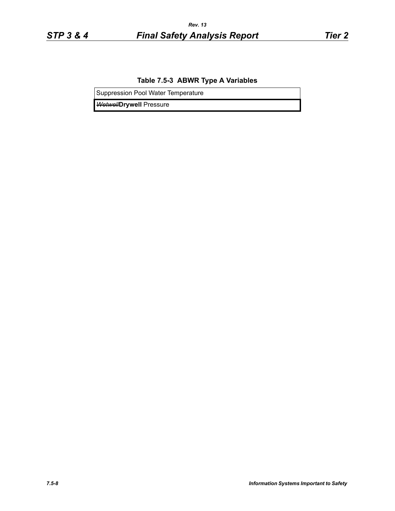## **Table 7.5-3 ABWR Type A Variables**

Suppression Pool Water Temperature

*Wetwell***Drywell** Pressure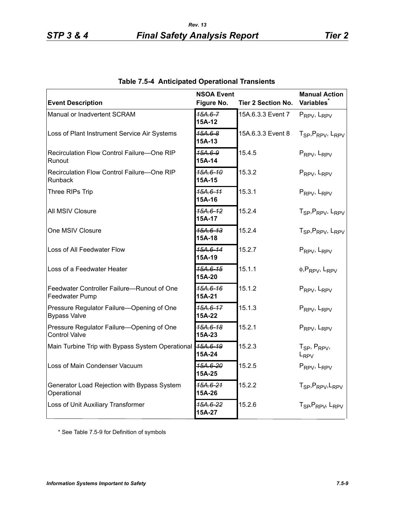| <b>Event Description</b>                                          | <b>NSOA Event</b><br>Figure No. | <b>Tier 2 Section No.</b> | <b>Manual Action</b><br><b>Variables</b>              |
|-------------------------------------------------------------------|---------------------------------|---------------------------|-------------------------------------------------------|
| Manual or Inadvertent SCRAM                                       | 15A.6-7<br>15A-12               | 15A.6.3.3 Event 7         | PRPV, LRPV                                            |
| Loss of Plant Instrument Service Air Systems                      | $15A.6-8$<br>15A-13             | 15A.6.3.3 Event 8         | T <sub>SP</sub> , P <sub>RPV</sub> , L <sub>RPV</sub> |
| Recirculation Flow Control Failure-One RIP<br>Runout              | 15A.6-9<br>15A-14               | 15.4.5                    | PRPV, LRPV                                            |
| Recirculation Flow Control Failure-One RIP<br>Runback             | 15A.6-10<br>15A-15              | 15.3.2                    | PRPV, LRPV                                            |
| Three RIPs Trip                                                   | 15A.6-11<br>15A-16              | 15.3.1                    | PRPV, LRPV                                            |
| All MSIV Closure                                                  | 15A.6-12<br>15A-17              | 15.2.4                    | T <sub>SP</sub> , P <sub>RPV</sub> , L <sub>RPV</sub> |
| One MSIV Closure                                                  | 15A.6-13<br>15A-18              | 15.2.4                    | T <sub>SP</sub> , P <sub>RPV</sub> , L <sub>RPV</sub> |
| Loss of All Feedwater Flow                                        | 15A.6-14<br>15A-19              | 15.2.7                    | PRPV, LRPV                                            |
| Loss of a Feedwater Heater                                        | 15A.6-15<br>15A-20              | 15.1.1                    | $\phi$ , PRPV, LRPV                                   |
| Feedwater Controller Failure-Runout of One<br>Feedwater Pump      | 15A.6-16<br>15A-21              | 15.1.2                    | PRPV, LRPV                                            |
| Pressure Regulator Failure-Opening of One<br><b>Bypass Valve</b>  | 15A.6-17<br>15A-22              | 15.1.3                    | PRPV, LRPV                                            |
| Pressure Regulator Failure-Opening of One<br><b>Control Valve</b> | 15A.6-18<br>15A-23              | 15.2.1                    | PRPV, LRPV                                            |
| Main Turbine Trip with Bypass System Operational                  | 15A.6-19<br>15A-24              | 15.2.3                    | $T_{SP}$ , $P_{RPV}$ ,<br>L <sub>RPV</sub>            |
| Loss of Main Condenser Vacuum                                     | <del>15A.6-20</del><br>15A-25   | 15.2.5                    | PRPV, LRPV                                            |
| Generator Load Rejection with Bypass System<br>Operational        | 15A.6-21<br>15A-26              | 15.2.2                    | T <sub>SP</sub> , P <sub>RPV</sub> , L <sub>RPV</sub> |
| Loss of Unit Auxiliary Transformer                                | 15A.6-22<br>15A-27              | 15.2.6                    | T <sub>SP</sub> , P <sub>RPV</sub> , L <sub>RPV</sub> |

| <b>Table 7.5-4 Anticipated Operational Transients</b> |  |  |
|-------------------------------------------------------|--|--|
|-------------------------------------------------------|--|--|

\* See Table 7.5-9 for Definition of symbols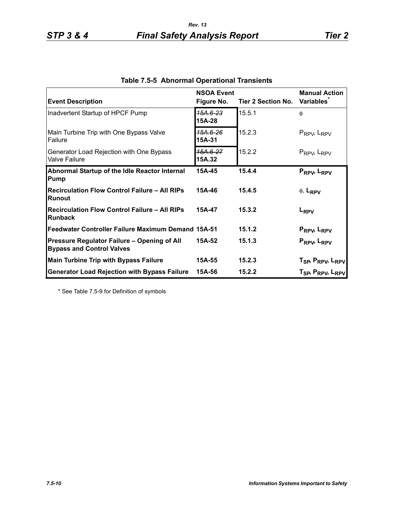| <b>Event Description</b>                                                        | <b>NSOA Event</b><br>Figure No. | <b>Tier 2 Section No.</b> | <b>Manual Action</b><br><b>Variables</b>                                                                       |
|---------------------------------------------------------------------------------|---------------------------------|---------------------------|----------------------------------------------------------------------------------------------------------------|
| Inadvertent Startup of HPCF Pump                                                | 15A.6-23<br>15A-28              | 15.5.1                    | φ                                                                                                              |
| Main Turbine Trip with One Bypass Valve<br>Failure                              | 15A.6-26<br>15A-31              | 15.2.3                    | $P_{RPV}$ , $L_{RPV}$                                                                                          |
| Generator Load Rejection with One Bypass<br><b>Valve Failure</b>                | 15A.6-27<br>15A.32              | 15.2.2                    | $P_{RPV}$ , $L_{RPV}$                                                                                          |
| Abnormal Startup of the Idle Reactor Internal<br>Pump                           | 15A-45                          | 15.4.4                    | PRPV, LRPV                                                                                                     |
| <b>Recirculation Flow Control Failure - All RIPs</b><br><b>Runout</b>           | 15A-46                          | 15.4.5                    | $\phi$ , L <sub>RPV</sub>                                                                                      |
| <b>Recirculation Flow Control Failure - All RIPs</b><br><b>Runback</b>          | 15A-47                          | 15.3.2                    | L <sub>RPV</sub>                                                                                               |
| Feedwater Controller Failure Maximum Demand 15A-51                              |                                 | 15.1.2                    | PRPV, LRPV                                                                                                     |
| Pressure Regulator Failure - Opening of All<br><b>Bypass and Control Valves</b> | 15A-52                          | 15.1.3                    | PRPV, LRPV                                                                                                     |
| <b>Main Turbine Trip with Bypass Failure</b>                                    | 15A-55                          | 15.2.3                    |                                                                                                                |
| <b>Generator Load Rejection with Bypass Failure</b>                             | 15A-56                          | 15.2.2                    | T <sub>SP</sub> , P <sub>RPV</sub> , L <sub>RPV</sub><br>T <sub>SP</sub> , P <sub>RPV</sub> , L <sub>RPV</sub> |

|  |  | Table 7.5-5 Abnormal Operational Transients |  |
|--|--|---------------------------------------------|--|
|--|--|---------------------------------------------|--|

\* See Table 7.5-9 for Definition of symbols